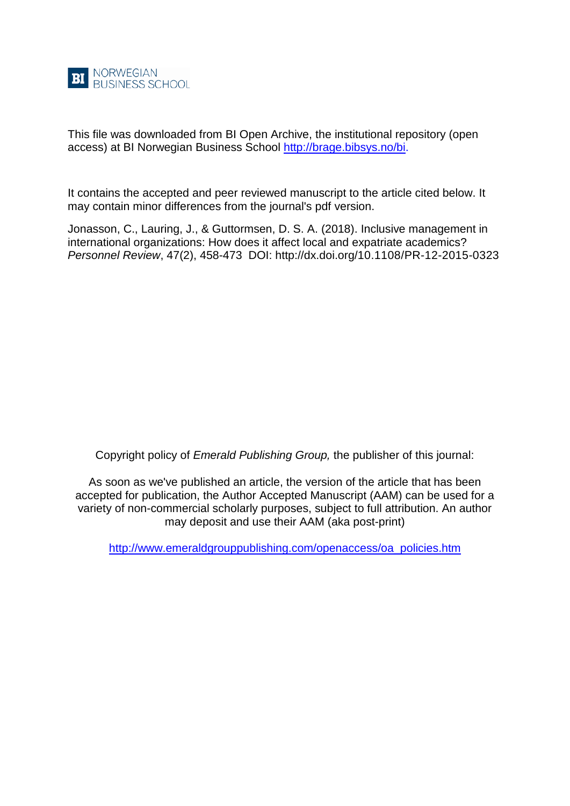

This file was downloaded from BI Open Archive, the institutional repository (open access) at BI Norwegian Business School [http://brage.bibsys.no/bi.](http://brage.bibsys.no/bi)

It contains the accepted and peer reviewed manuscript to the article cited below. It may contain minor differences from the journal's pdf version.

Jonasson, C., Lauring, J., & Guttormsen, D. S. A. (2018). Inclusive management in international organizations: How does it affect local and expatriate academics? *Personnel Review*, 47(2), 458-473 DOI: http://dx.doi.org[/10.1108/PR-12-2015-0323](https://doi-org.ezproxy.library.bi.no/10.1108/PR-12-2015-0323)

Copyright policy of *Emerald Publishing Group,* the publisher of this journal:

As soon as we've published an article, the version of the article that has been accepted for publication, the Author Accepted Manuscript (AAM) can be used for a variety of non-commercial scholarly purposes, subject to full attribution. An author may deposit and use their AAM (aka post-print)

[http://www.emeraldgrouppublishing.com/openaccess/oa\\_policies.htm](http://www.emeraldgrouppublishing.com/openaccess/oa_policies.htm)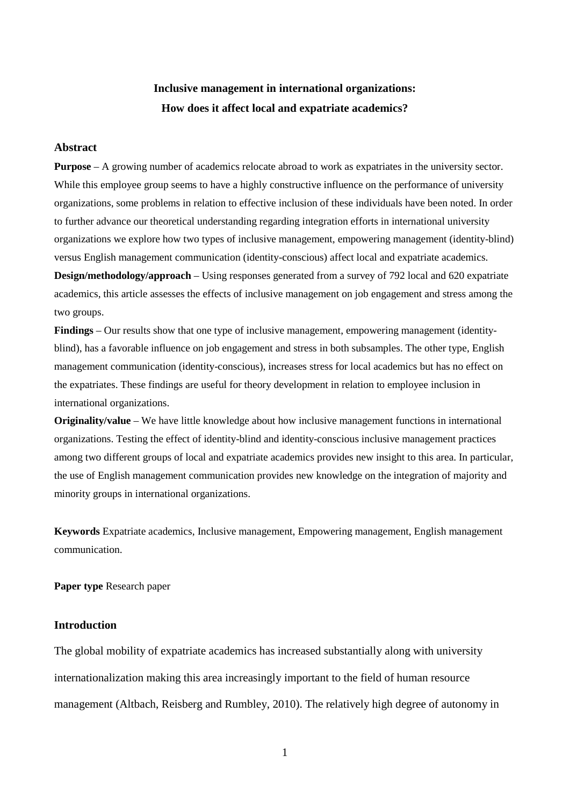# **Inclusive management in international organizations: How does it affect local and expatriate academics?**

#### **Abstract**

**Purpose** – A growing number of academics relocate abroad to work as expatriates in the university sector. While this employee group seems to have a highly constructive influence on the performance of university organizations, some problems in relation to effective inclusion of these individuals have been noted. In order to further advance our theoretical understanding regarding integration efforts in international university organizations we explore how two types of inclusive management, empowering management (identity-blind) versus English management communication (identity-conscious) affect local and expatriate academics.

**Design/methodology/approach** – Using responses generated from a survey of 792 local and 620 expatriate academics, this article assesses the effects of inclusive management on job engagement and stress among the two groups.

**Findings** – Our results show that one type of inclusive management, empowering management (identityblind), has a favorable influence on job engagement and stress in both subsamples. The other type, English management communication (identity-conscious), increases stress for local academics but has no effect on the expatriates. These findings are useful for theory development in relation to employee inclusion in international organizations.

**Originality/value** – We have little knowledge about how inclusive management functions in international organizations. Testing the effect of identity-blind and identity-conscious inclusive management practices among two different groups of local and expatriate academics provides new insight to this area. In particular, the use of English management communication provides new knowledge on the integration of majority and minority groups in international organizations.

**Keywords** Expatriate academics, Inclusive management, Empowering management, English management communication.

**Paper type** Research paper

# **Introduction**

The global mobility of expatriate academics has increased substantially along with university internationalization making this area increasingly important to the field of human resource management (Altbach, Reisberg and Rumbley, 2010). The relatively high degree of autonomy in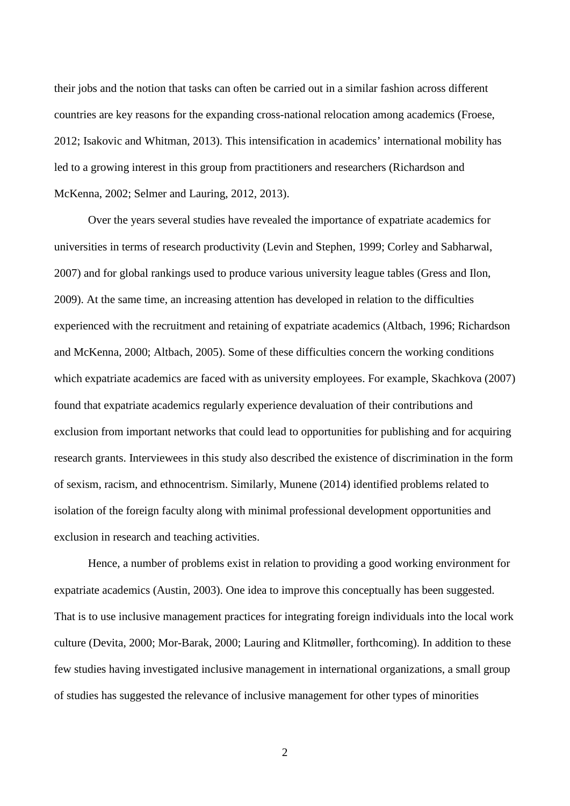their jobs and the notion that tasks can often be carried out in a similar fashion across different countries are key reasons for the expanding cross-national relocation among academics (Froese, 2012; Isakovic and Whitman, 2013). This intensification in academics' international mobility has led to a growing interest in this group from practitioners and researchers (Richardson and McKenna, 2002; Selmer and Lauring, 2012, 2013).

Over the years several studies have revealed the importance of expatriate academics for universities in terms of research productivity (Levin and Stephen, 1999; Corley and Sabharwal, 2007) and for global rankings used to produce various university league tables (Gress and Ilon, 2009). At the same time, an increasing attention has developed in relation to the difficulties experienced with the recruitment and retaining of expatriate academics (Altbach, 1996; Richardson and McKenna, 2000; Altbach, 2005). Some of these difficulties concern the working conditions which expatriate academics are faced with as university employees. For example, Skachkova (2007) found that expatriate academics regularly experience devaluation of their contributions and exclusion from important networks that could lead to opportunities for publishing and for acquiring research grants. Interviewees in this study also described the existence of discrimination in the form of sexism, racism, and ethnocentrism. Similarly, Munene (2014) identified problems related to isolation of the foreign faculty along with minimal professional development opportunities and exclusion in research and teaching activities.

Hence, a number of problems exist in relation to providing a good working environment for expatriate academics (Austin, 2003). One idea to improve this conceptually has been suggested. That is to use inclusive management practices for integrating foreign individuals into the local work culture (Devita, 2000; Mor-Barak, 2000; Lauring and Klitmøller, forthcoming). In addition to these few studies having investigated inclusive management in international organizations, a small group of studies has suggested the relevance of inclusive management for other types of minorities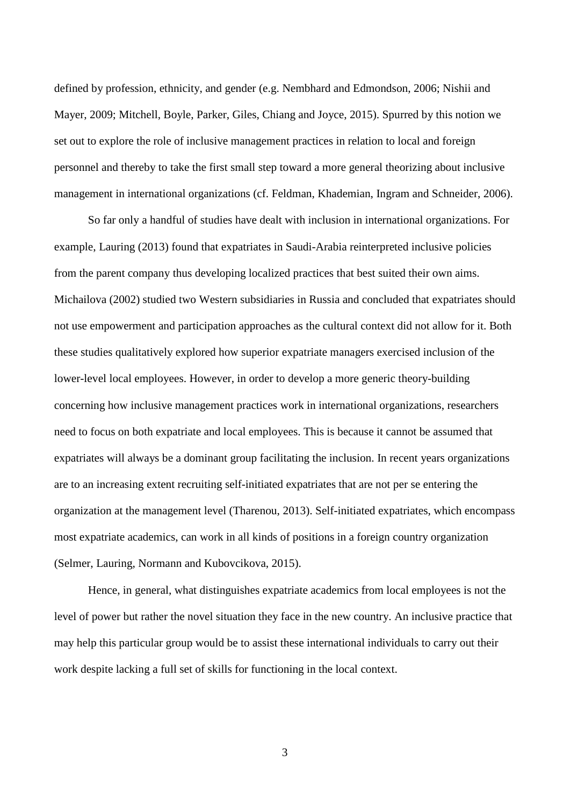defined by profession, ethnicity, and gender (e.g. Nembhard and Edmondson, 2006; Nishii and Mayer, 2009; Mitchell, Boyle, Parker, Giles, Chiang and Joyce, 2015). Spurred by this notion we set out to explore the role of inclusive management practices in relation to local and foreign personnel and thereby to take the first small step toward a more general theorizing about inclusive management in international organizations (cf. Feldman, Khademian, Ingram and Schneider, 2006).

So far only a handful of studies have dealt with inclusion in international organizations. For example, Lauring (2013) found that expatriates in Saudi-Arabia reinterpreted inclusive policies from the parent company thus developing localized practices that best suited their own aims. Michailova (2002) studied two Western subsidiaries in Russia and concluded that expatriates should not use empowerment and participation approaches as the cultural context did not allow for it. Both these studies qualitatively explored how superior expatriate managers exercised inclusion of the lower-level local employees. However, in order to develop a more generic theory-building concerning how inclusive management practices work in international organizations, researchers need to focus on both expatriate and local employees. This is because it cannot be assumed that expatriates will always be a dominant group facilitating the inclusion. In recent years organizations are to an increasing extent recruiting self-initiated expatriates that are not per se entering the organization at the management level (Tharenou, 2013). Self-initiated expatriates, which encompass most expatriate academics, can work in all kinds of positions in a foreign country organization (Selmer, Lauring, Normann and Kubovcikova, 2015).

Hence, in general, what distinguishes expatriate academics from local employees is not the level of power but rather the novel situation they face in the new country. An inclusive practice that may help this particular group would be to assist these international individuals to carry out their work despite lacking a full set of skills for functioning in the local context.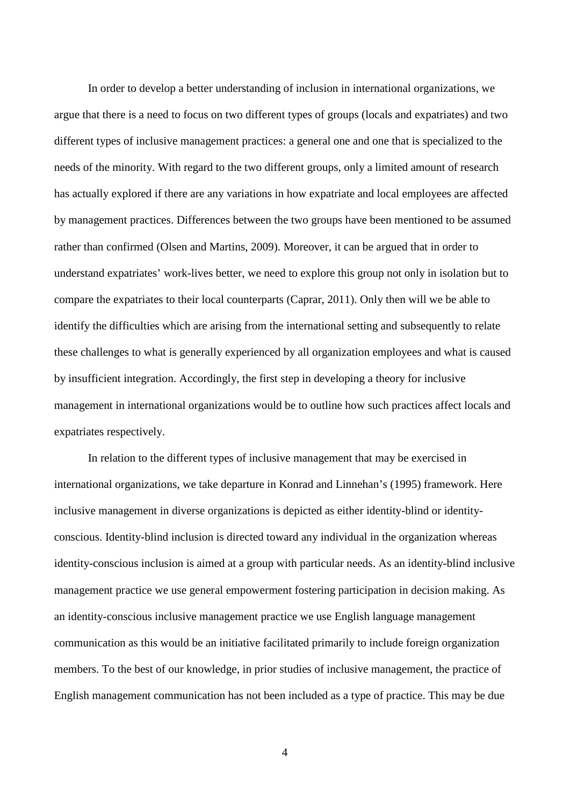In order to develop a better understanding of inclusion in international organizations, we argue that there is a need to focus on two different types of groups (locals and expatriates) and two different types of inclusive management practices: a general one and one that is specialized to the needs of the minority. With regard to the two different groups, only a limited amount of research has actually explored if there are any variations in how expatriate and local employees are affected by management practices. Differences between the two groups have been mentioned to be assumed rather than confirmed (Olsen and Martins, 2009). Moreover, it can be argued that in order to understand expatriates' work-lives better, we need to explore this group not only in isolation but to compare the expatriates to their local counterparts (Caprar, 2011). Only then will we be able to identify the difficulties which are arising from the international setting and subsequently to relate these challenges to what is generally experienced by all organization employees and what is caused by insufficient integration. Accordingly, the first step in developing a theory for inclusive management in international organizations would be to outline how such practices affect locals and expatriates respectively.

In relation to the different types of inclusive management that may be exercised in international organizations, we take departure in Konrad and Linnehan's (1995) framework. Here inclusive management in diverse organizations is depicted as either identity-blind or identityconscious. Identity-blind inclusion is directed toward any individual in the organization whereas identity-conscious inclusion is aimed at a group with particular needs. As an identity-blind inclusive management practice we use general empowerment fostering participation in decision making. As an identity-conscious inclusive management practice we use English language management communication as this would be an initiative facilitated primarily to include foreign organization members. To the best of our knowledge, in prior studies of inclusive management, the practice of English management communication has not been included as a type of practice. This may be due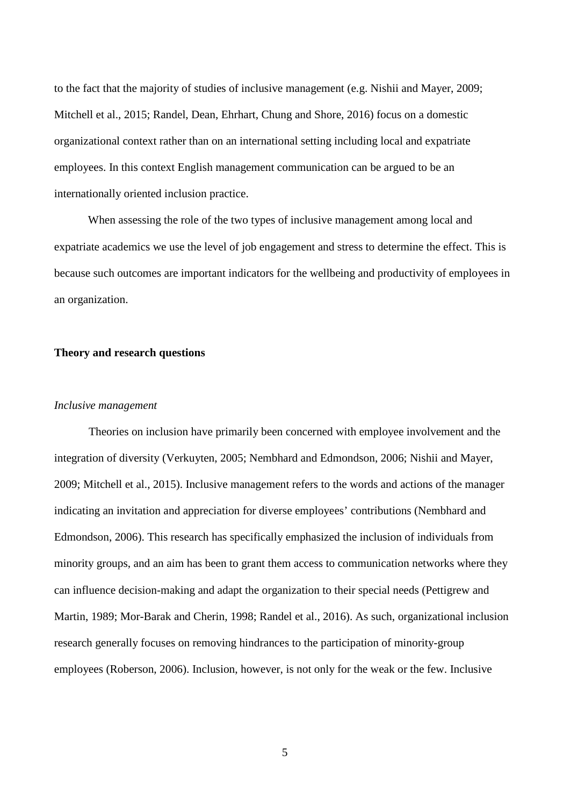to the fact that the majority of studies of inclusive management (e.g. Nishii and Mayer, 2009; Mitchell et al., 2015; Randel, Dean, Ehrhart, Chung and Shore, 2016) focus on a domestic organizational context rather than on an international setting including local and expatriate employees. In this context English management communication can be argued to be an internationally oriented inclusion practice.

When assessing the role of the two types of inclusive management among local and expatriate academics we use the level of job engagement and stress to determine the effect. This is because such outcomes are important indicators for the wellbeing and productivity of employees in an organization.

# **Theory and research questions**

#### *Inclusive management*

Theories on inclusion have primarily been concerned with employee involvement and the integration of diversity (Verkuyten, 2005; Nembhard and Edmondson, 2006; Nishii and Mayer, 2009; Mitchell et al., 2015). Inclusive management refers to the words and actions of the manager indicating an invitation and appreciation for diverse employees' contributions (Nembhard and Edmondson, 2006). This research has specifically emphasized the inclusion of individuals from minority groups, and an aim has been to grant them access to communication networks where they can influence decision-making and adapt the organization to their special needs (Pettigrew and Martin, 1989; Mor-Barak and Cherin, 1998; Randel et al., 2016). As such, organizational inclusion research generally focuses on removing hindrances to the participation of minority-group employees (Roberson, 2006). Inclusion, however, is not only for the weak or the few. Inclusive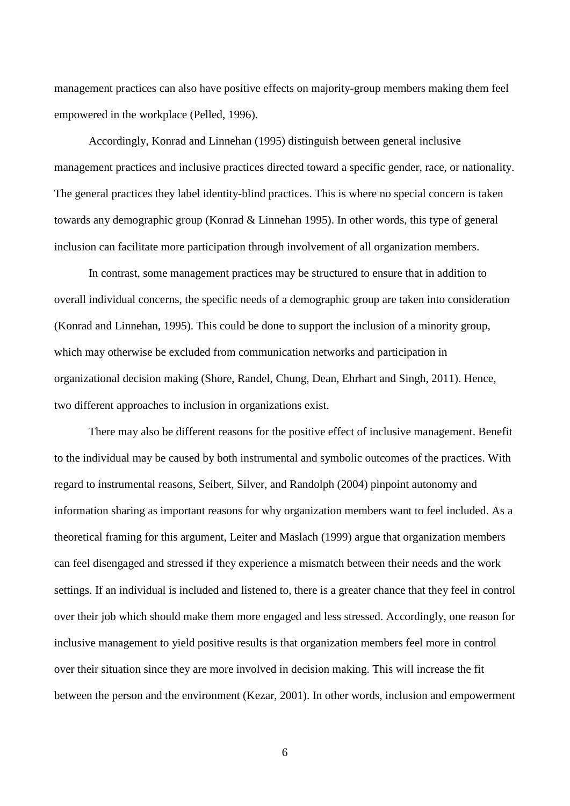management practices can also have positive effects on majority-group members making them feel empowered in the workplace (Pelled, 1996).

Accordingly, Konrad and Linnehan (1995) distinguish between general inclusive management practices and inclusive practices directed toward a specific gender, race, or nationality. The general practices they label identity-blind practices. This is where no special concern is taken towards any demographic group (Konrad & Linnehan 1995). In other words, this type of general inclusion can facilitate more participation through involvement of all organization members.

In contrast, some management practices may be structured to ensure that in addition to overall individual concerns, the specific needs of a demographic group are taken into consideration (Konrad and Linnehan, 1995). This could be done to support the inclusion of a minority group, which may otherwise be excluded from communication networks and participation in organizational decision making (Shore, Randel, Chung, Dean, Ehrhart and Singh, 2011). Hence, two different approaches to inclusion in organizations exist.

There may also be different reasons for the positive effect of inclusive management. Benefit to the individual may be caused by both instrumental and symbolic outcomes of the practices. With regard to instrumental reasons, Seibert, Silver, and Randolph (2004) pinpoint autonomy and information sharing as important reasons for why organization members want to feel included. As a theoretical framing for this argument, Leiter and Maslach (1999) argue that organization members can feel disengaged and stressed if they experience a mismatch between their needs and the work settings. If an individual is included and listened to, there is a greater chance that they feel in control over their job which should make them more engaged and less stressed. Accordingly, one reason for inclusive management to yield positive results is that organization members feel more in control over their situation since they are more involved in decision making. This will increase the fit between the person and the environment (Kezar, 2001). In other words, inclusion and empowerment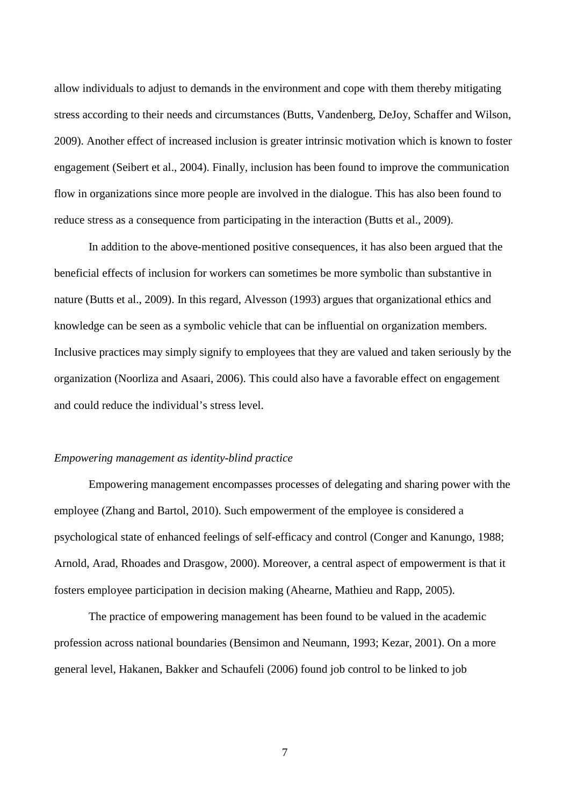allow individuals to adjust to demands in the environment and cope with them thereby mitigating stress according to their needs and circumstances (Butts, Vandenberg, DeJoy, Schaffer and Wilson, 2009). Another effect of increased inclusion is greater intrinsic motivation which is known to foster engagement (Seibert et al., 2004). Finally, inclusion has been found to improve the communication flow in organizations since more people are involved in the dialogue. This has also been found to reduce stress as a consequence from participating in the interaction (Butts et al., 2009).

In addition to the above-mentioned positive consequences, it has also been argued that the beneficial effects of inclusion for workers can sometimes be more symbolic than substantive in nature (Butts et al., 2009). In this regard, Alvesson (1993) argues that organizational ethics and knowledge can be seen as a symbolic vehicle that can be influential on organization members. Inclusive practices may simply signify to employees that they are valued and taken seriously by the organization (Noorliza and Asaari, 2006). This could also have a favorable effect on engagement and could reduce the individual's stress level.

# *Empowering management as identity-blind practice*

Empowering management encompasses processes of delegating and sharing power with the employee (Zhang and Bartol, 2010). Such empowerment of the employee is considered a psychological state of enhanced feelings of self-efficacy and control (Conger and Kanungo, 1988; Arnold, Arad, Rhoades and Drasgow, 2000). Moreover, a central aspect of empowerment is that it fosters employee participation in decision making (Ahearne, Mathieu and Rapp, 2005).

The practice of empowering management has been found to be valued in the academic profession across national boundaries (Bensimon and Neumann, 1993; Kezar, 2001). On a more general level, Hakanen, Bakker and Schaufeli (2006) found job control to be linked to job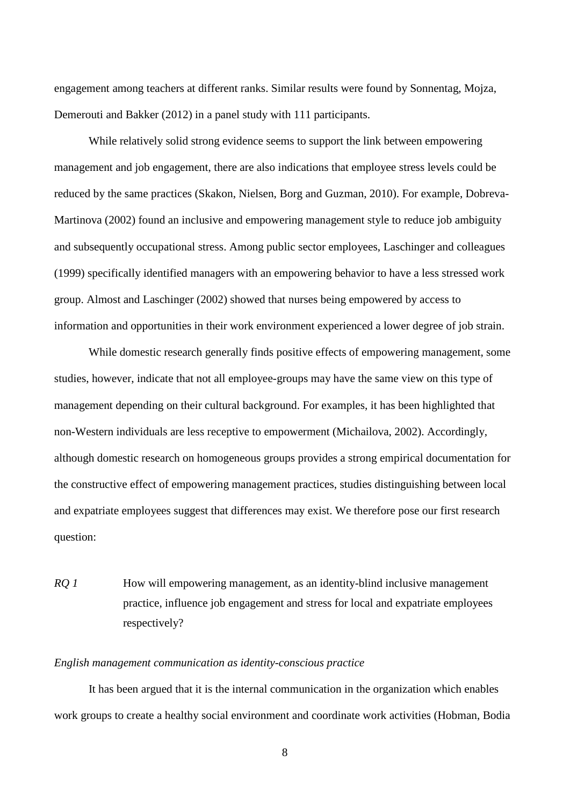engagement among teachers at different ranks. Similar results were found by Sonnentag, Mojza, Demerouti and Bakker (2012) in a panel study with 111 participants.

While relatively solid strong evidence seems to support the link between empowering management and job engagement, there are also indications that employee stress levels could be reduced by the same practices (Skakon, Nielsen, Borg and Guzman, 2010). For example, Dobreva-Martinova (2002) found an inclusive and empowering management style to reduce job ambiguity and subsequently occupational stress. Among public sector employees, Laschinger and colleagues (1999) specifically identified managers with an empowering behavior to have a less stressed work group. Almost and Laschinger (2002) showed that nurses being empowered by access to information and opportunities in their work environment experienced a lower degree of job strain.

While domestic research generally finds positive effects of empowering management, some studies, however, indicate that not all employee-groups may have the same view on this type of management depending on their cultural background. For examples, it has been highlighted that non-Western individuals are less receptive to empowerment (Michailova, 2002). Accordingly, although domestic research on homogeneous groups provides a strong empirical documentation for the constructive effect of empowering management practices, studies distinguishing between local and expatriate employees suggest that differences may exist. We therefore pose our first research question:

*RQ 1* How will empowering management, as an identity-blind inclusive management practice, influence job engagement and stress for local and expatriate employees respectively?

#### *English management communication as identity-conscious practice*

It has been argued that it is the internal communication in the organization which enables work groups to create a healthy social environment and coordinate work activities (Hobman, Bodia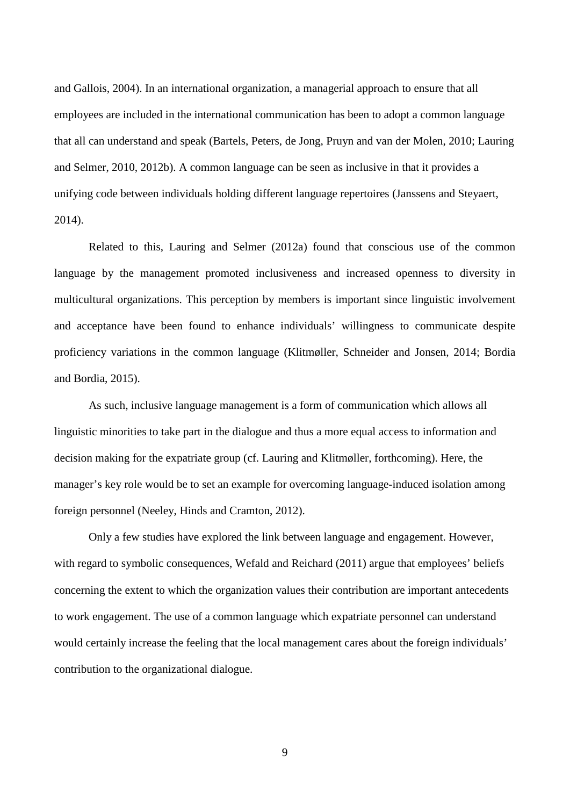and Gallois, 2004). In an international organization, a managerial approach to ensure that all employees are included in the international communication has been to adopt a common language that all can understand and speak (Bartels, Peters, de Jong, Pruyn and van der Molen, 2010; Lauring and Selmer, 2010, 2012b). A common language can be seen as inclusive in that it provides a unifying code between individuals holding different language repertoires (Janssens and Steyaert, 2014).

Related to this, Lauring and Selmer (2012a) found that conscious use of the common language by the management promoted inclusiveness and increased openness to diversity in multicultural organizations. This perception by members is important since linguistic involvement and acceptance have been found to enhance individuals' willingness to communicate despite proficiency variations in the common language (Klitmøller, Schneider and Jonsen, 2014; Bordia and Bordia, 2015).

As such, inclusive language management is a form of communication which allows all linguistic minorities to take part in the dialogue and thus a more equal access to information and decision making for the expatriate group (cf. Lauring and Klitmøller, forthcoming). Here, the manager's key role would be to set an example for overcoming language-induced isolation among foreign personnel (Neeley, Hinds and Cramton, 2012).

Only a few studies have explored the link between language and engagement. However, with regard to symbolic consequences, Wefald and Reichard (2011) argue that employees' beliefs concerning the extent to which the organization values their contribution are important antecedents to work engagement. The use of a common language which expatriate personnel can understand would certainly increase the feeling that the local management cares about the foreign individuals' contribution to the organizational dialogue.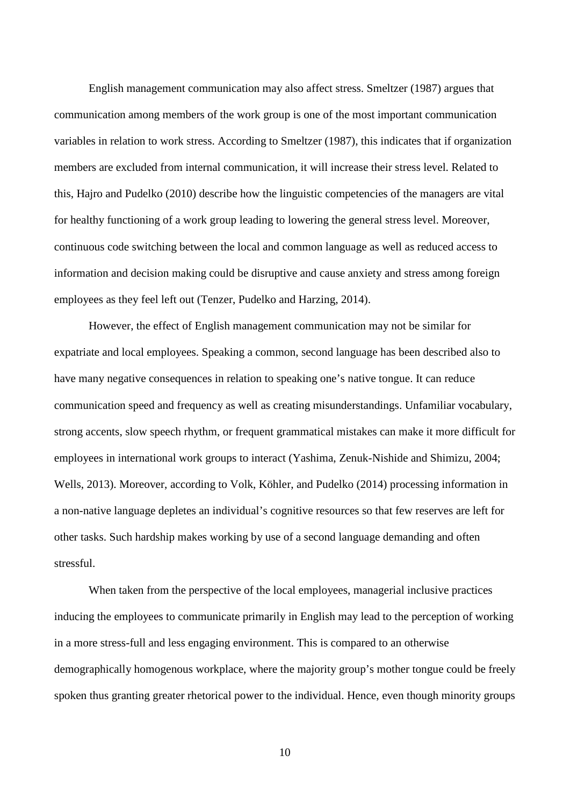English management communication may also affect stress. Smeltzer (1987) argues that communication among members of the work group is one of the most important communication variables in relation to work stress. According to Smeltzer (1987), this indicates that if organization members are excluded from internal communication, it will increase their stress level. Related to this, Hajro and Pudelko (2010) describe how the linguistic competencies of the managers are vital for healthy functioning of a work group leading to lowering the general stress level. Moreover, continuous code switching between the local and common language as well as reduced access to information and decision making could be disruptive and cause anxiety and stress among foreign employees as they feel left out (Tenzer, Pudelko and Harzing, 2014).

However, the effect of English management communication may not be similar for expatriate and local employees. Speaking a common, second language has been described also to have many negative consequences in relation to speaking one's native tongue. It can reduce communication speed and frequency as well as creating misunderstandings. Unfamiliar vocabulary, strong accents, slow speech rhythm, or frequent grammatical mistakes can make it more difficult for employees in international work groups to interact (Yashima, Zenuk-Nishide and Shimizu, 2004; Wells, 2013). Moreover, according to Volk, Köhler, and Pudelko (2014) processing information in a non-native language depletes an individual's cognitive resources so that few reserves are left for other tasks. Such hardship makes working by use of a second language demanding and often stressful.

When taken from the perspective of the local employees, managerial inclusive practices inducing the employees to communicate primarily in English may lead to the perception of working in a more stress-full and less engaging environment. This is compared to an otherwise demographically homogenous workplace, where the majority group's mother tongue could be freely spoken thus granting greater rhetorical power to the individual. Hence, even though minority groups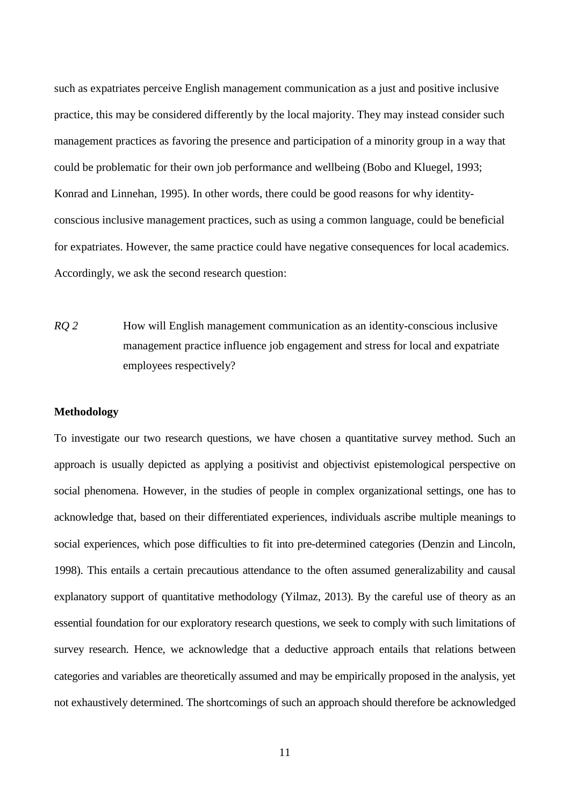such as expatriates perceive English management communication as a just and positive inclusive practice, this may be considered differently by the local majority. They may instead consider such management practices as favoring the presence and participation of a minority group in a way that could be problematic for their own job performance and wellbeing (Bobo and Kluegel, 1993; Konrad and Linnehan, 1995). In other words, there could be good reasons for why identityconscious inclusive management practices, such as using a common language, could be beneficial for expatriates. However, the same practice could have negative consequences for local academics. Accordingly, we ask the second research question:

*RQ 2* How will English management communication as an identity-conscious inclusive management practice influence job engagement and stress for local and expatriate employees respectively?

#### **Methodology**

To investigate our two research questions, we have chosen a quantitative survey method. Such an approach is usually depicted as applying a positivist and objectivist epistemological perspective on social phenomena. However, in the studies of people in complex organizational settings, one has to acknowledge that, based on their differentiated experiences, individuals ascribe multiple meanings to social experiences, which pose difficulties to fit into pre-determined categories (Denzin and Lincoln, 1998). This entails a certain precautious attendance to the often assumed generalizability and causal explanatory support of quantitative methodology (Yilmaz, 2013). By the careful use of theory as an essential foundation for our exploratory research questions, we seek to comply with such limitations of survey research. Hence, we acknowledge that a deductive approach entails that relations between categories and variables are theoretically assumed and may be empirically proposed in the analysis, yet not exhaustively determined. The shortcomings of such an approach should therefore be acknowledged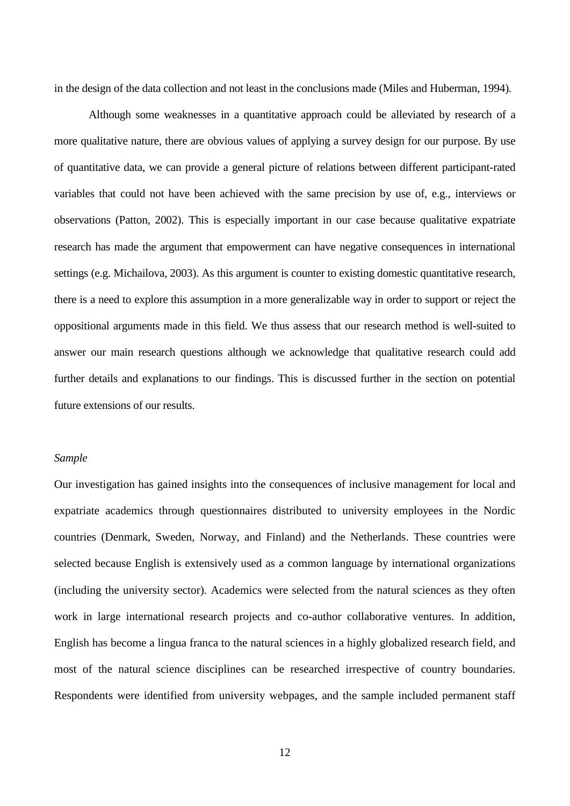in the design of the data collection and not least in the conclusions made (Miles and Huberman, 1994).

Although some weaknesses in a quantitative approach could be alleviated by research of a more qualitative nature, there are obvious values of applying a survey design for our purpose. By use of quantitative data, we can provide a general picture of relations between different participant-rated variables that could not have been achieved with the same precision by use of, e.g., interviews or observations (Patton, 2002). This is especially important in our case because qualitative expatriate research has made the argument that empowerment can have negative consequences in international settings (e.g. Michailova, 2003). As this argument is counter to existing domestic quantitative research, there is a need to explore this assumption in a more generalizable way in order to support or reject the oppositional arguments made in this field. We thus assess that our research method is well-suited to answer our main research questions although we acknowledge that qualitative research could add further details and explanations to our findings. This is discussed further in the section on potential future extensions of our results.

# *Sample*

Our investigation has gained insights into the consequences of inclusive management for local and expatriate academics through questionnaires distributed to university employees in the Nordic countries (Denmark, Sweden, Norway, and Finland) and the Netherlands. These countries were selected because English is extensively used as a common language by international organizations (including the university sector). Academics were selected from the natural sciences as they often work in large international research projects and co-author collaborative ventures. In addition, English has become a lingua franca to the natural sciences in a highly globalized research field, and most of the natural science disciplines can be researched irrespective of country boundaries. Respondents were identified from university webpages, and the sample included permanent staff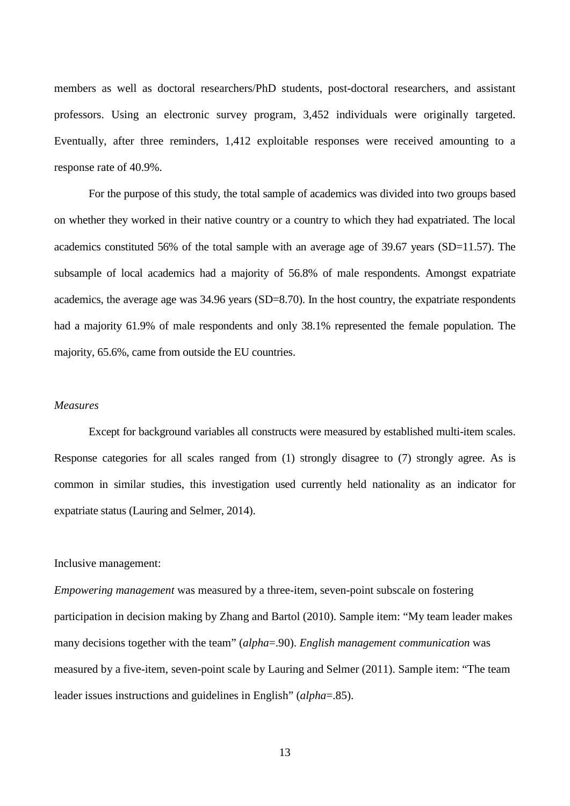members as well as doctoral researchers/PhD students, post-doctoral researchers, and assistant professors. Using an electronic survey program, 3,452 individuals were originally targeted. Eventually, after three reminders, 1,412 exploitable responses were received amounting to a response rate of 40.9%.

For the purpose of this study, the total sample of academics was divided into two groups based on whether they worked in their native country or a country to which they had expatriated. The local academics constituted 56% of the total sample with an average age of 39.67 years (SD=11.57). The subsample of local academics had a majority of 56.8% of male respondents. Amongst expatriate academics, the average age was 34.96 years (SD=8.70). In the host country, the expatriate respondents had a majority 61.9% of male respondents and only 38.1% represented the female population. The majority, 65.6%, came from outside the EU countries.

#### *Measures*

Except for background variables all constructs were measured by established multi-item scales. Response categories for all scales ranged from (1) strongly disagree to (7) strongly agree. As is common in similar studies, this investigation used currently held nationality as an indicator for expatriate status (Lauring and Selmer, 2014).

#### Inclusive management:

*Empowering management* was measured by a three-item, seven-point subscale on fostering participation in decision making by Zhang and Bartol (2010). Sample item: "My team leader makes many decisions together with the team" (*alpha*=.90). *English management communication* was measured by a five-item, seven-point scale by Lauring and Selmer (2011). Sample item: "The team leader issues instructions and guidelines in English" (*alpha*=.85).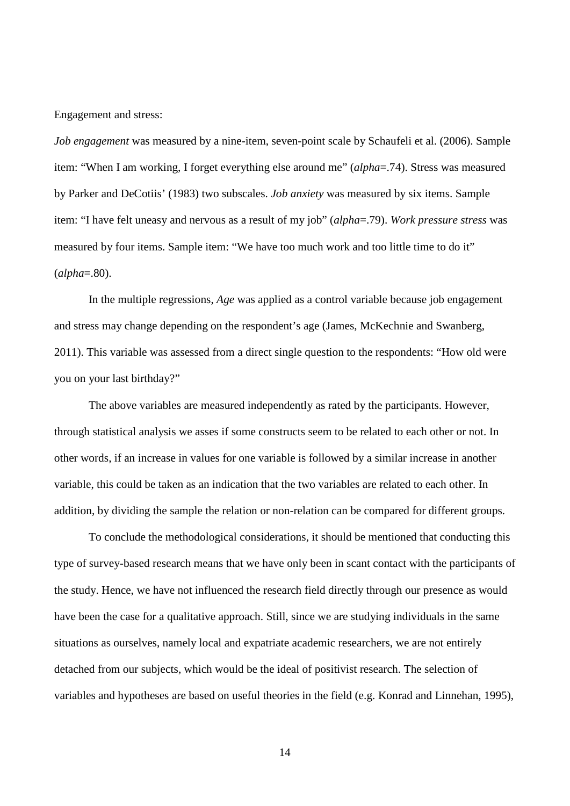Engagement and stress:

*Job engagement* was measured by a nine-item, seven-point scale by Schaufeli et al. (2006). Sample item: "When I am working, I forget everything else around me" (*alpha*=.74). Stress was measured by Parker and DeCotiis' (1983) two subscales. *Job anxiety* was measured by six items. Sample item: "I have felt uneasy and nervous as a result of my job" (*alpha*=.79). *Work pressure stress* was measured by four items. Sample item: "We have too much work and too little time to do it" (*alpha*=.80).

In the multiple regressions, *Age* was applied as a control variable because job engagement and stress may change depending on the respondent's age (James, McKechnie and Swanberg, 2011). This variable was assessed from a direct single question to the respondents: "How old were you on your last birthday?"

The above variables are measured independently as rated by the participants. However, through statistical analysis we asses if some constructs seem to be related to each other or not. In other words, if an increase in values for one variable is followed by a similar increase in another variable, this could be taken as an indication that the two variables are related to each other. In addition, by dividing the sample the relation or non-relation can be compared for different groups.

To conclude the methodological considerations, it should be mentioned that conducting this type of survey-based research means that we have only been in scant contact with the participants of the study. Hence, we have not influenced the research field directly through our presence as would have been the case for a qualitative approach. Still, since we are studying individuals in the same situations as ourselves, namely local and expatriate academic researchers, we are not entirely detached from our subjects, which would be the ideal of positivist research. The selection of variables and hypotheses are based on useful theories in the field (e.g. Konrad and Linnehan, 1995),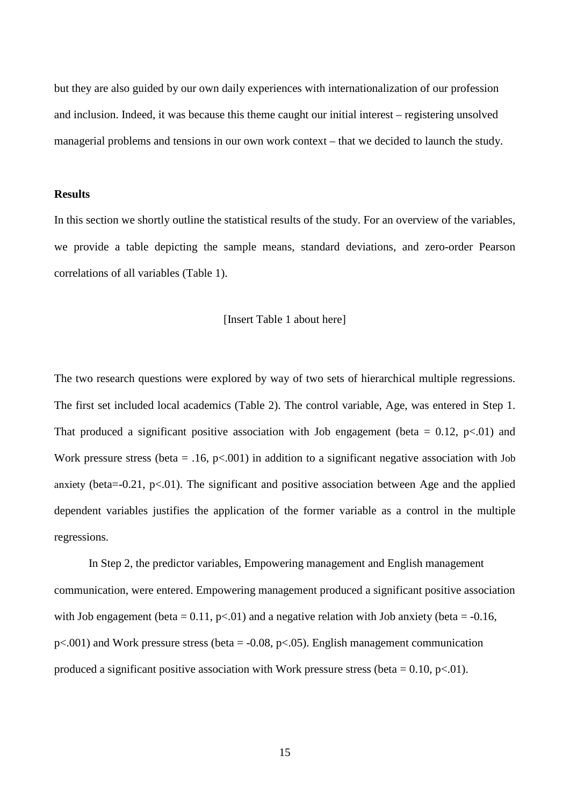but they are also guided by our own daily experiences with internationalization of our profession and inclusion. Indeed, it was because this theme caught our initial interest – registering unsolved managerial problems and tensions in our own work context – that we decided to launch the study.

# **Results**

In this section we shortly outline the statistical results of the study. For an overview of the variables, we provide a table depicting the sample means, standard deviations, and zero-order Pearson correlations of all variables (Table 1).

# [Insert Table 1 about here]

The two research questions were explored by way of two sets of hierarchical multiple regressions. The first set included local academics (Table 2). The control variable, Age, was entered in Step 1. That produced a significant positive association with Job engagement (beta =  $0.12$ , p<.01) and Work pressure stress (beta = .16,  $p<.001$ ) in addition to a significant negative association with Job anxiety (beta= $-0.21$ , p< $.01$ ). The significant and positive association between Age and the applied dependent variables justifies the application of the former variable as a control in the multiple regressions.

In Step 2, the predictor variables, Empowering management and English management communication, were entered. Empowering management produced a significant positive association with Job engagement (beta =  $0.11$ , p<.01) and a negative relation with Job anxiety (beta =  $-0.16$ ,  $p<.001$ ) and Work pressure stress (beta = -0.08,  $p<.05$ ). English management communication produced a significant positive association with Work pressure stress (beta =  $0.10$ , p $< .01$ ).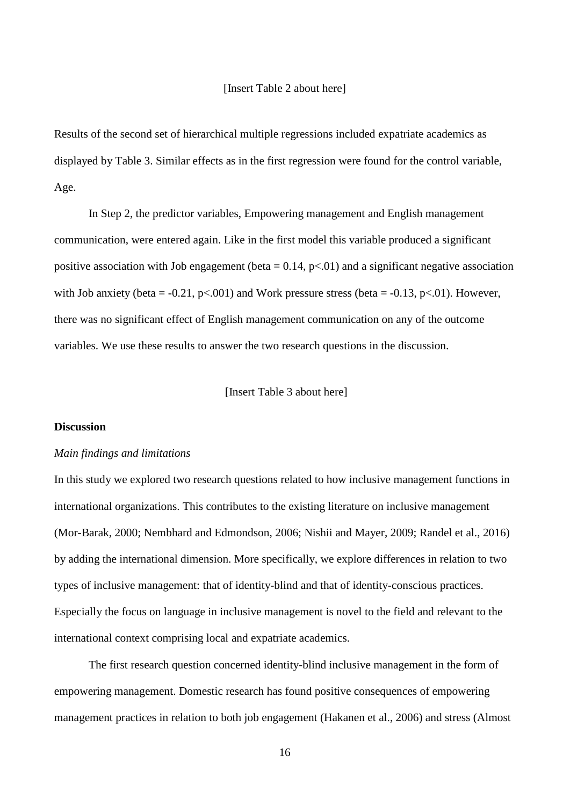#### [Insert Table 2 about here]

Results of the second set of hierarchical multiple regressions included expatriate academics as displayed by Table 3. Similar effects as in the first regression were found for the control variable, Age.

In Step 2, the predictor variables, Empowering management and English management communication, were entered again. Like in the first model this variable produced a significant positive association with Job engagement (beta =  $0.14$ , p<.01) and a significant negative association with Job anxiety (beta =  $-0.21$ , p<.001) and Work pressure stress (beta =  $-0.13$ , p<.01). However, there was no significant effect of English management communication on any of the outcome variables. We use these results to answer the two research questions in the discussion.

# [Insert Table 3 about here]

#### **Discussion**

#### *Main findings and limitations*

In this study we explored two research questions related to how inclusive management functions in international organizations. This contributes to the existing literature on inclusive management (Mor-Barak, 2000; Nembhard and Edmondson, 2006; Nishii and Mayer, 2009; Randel et al., 2016) by adding the international dimension. More specifically, we explore differences in relation to two types of inclusive management: that of identity-blind and that of identity-conscious practices. Especially the focus on language in inclusive management is novel to the field and relevant to the international context comprising local and expatriate academics.

The first research question concerned identity-blind inclusive management in the form of empowering management. Domestic research has found positive consequences of empowering management practices in relation to both job engagement (Hakanen et al., 2006) and stress (Almost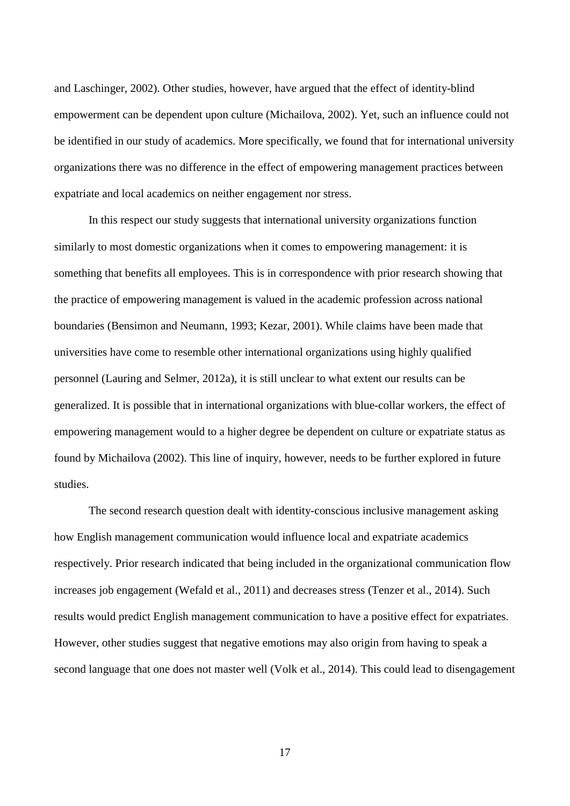and Laschinger, 2002). Other studies, however, have argued that the effect of identity-blind empowerment can be dependent upon culture (Michailova, 2002). Yet, such an influence could not be identified in our study of academics. More specifically, we found that for international university organizations there was no difference in the effect of empowering management practices between expatriate and local academics on neither engagement nor stress.

In this respect our study suggests that international university organizations function similarly to most domestic organizations when it comes to empowering management: it is something that benefits all employees. This is in correspondence with prior research showing that the practice of empowering management is valued in the academic profession across national boundaries (Bensimon and Neumann, 1993; Kezar, 2001). While claims have been made that universities have come to resemble other international organizations using highly qualified personnel (Lauring and Selmer, 2012a), it is still unclear to what extent our results can be generalized. It is possible that in international organizations with blue-collar workers, the effect of empowering management would to a higher degree be dependent on culture or expatriate status as found by Michailova (2002). This line of inquiry, however, needs to be further explored in future studies.

The second research question dealt with identity-conscious inclusive management asking how English management communication would influence local and expatriate academics respectively. Prior research indicated that being included in the organizational communication flow increases job engagement (Wefald et al., 2011) and decreases stress (Tenzer et al., 2014). Such results would predict English management communication to have a positive effect for expatriates. However, other studies suggest that negative emotions may also origin from having to speak a second language that one does not master well (Volk et al., 2014). This could lead to disengagement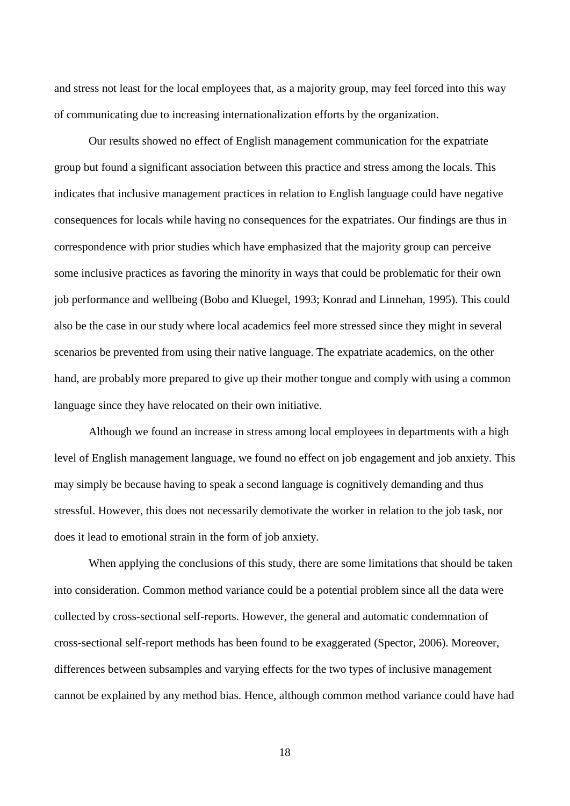and stress not least for the local employees that, as a majority group, may feel forced into this way of communicating due to increasing internationalization efforts by the organization.

Our results showed no effect of English management communication for the expatriate group but found a significant association between this practice and stress among the locals. This indicates that inclusive management practices in relation to English language could have negative consequences for locals while having no consequences for the expatriates. Our findings are thus in correspondence with prior studies which have emphasized that the majority group can perceive some inclusive practices as favoring the minority in ways that could be problematic for their own job performance and wellbeing (Bobo and Kluegel, 1993; Konrad and Linnehan, 1995). This could also be the case in our study where local academics feel more stressed since they might in several scenarios be prevented from using their native language. The expatriate academics, on the other hand, are probably more prepared to give up their mother tongue and comply with using a common language since they have relocated on their own initiative.

Although we found an increase in stress among local employees in departments with a high level of English management language, we found no effect on job engagement and job anxiety. This may simply be because having to speak a second language is cognitively demanding and thus stressful. However, this does not necessarily demotivate the worker in relation to the job task, nor does it lead to emotional strain in the form of job anxiety.

When applying the conclusions of this study, there are some limitations that should be taken into consideration. Common method variance could be a potential problem since all the data were collected by cross-sectional self-reports. However, the general and automatic condemnation of cross-sectional self-report methods has been found to be exaggerated (Spector, 2006). Moreover, differences between subsamples and varying effects for the two types of inclusive management cannot be explained by any method bias. Hence, although common method variance could have had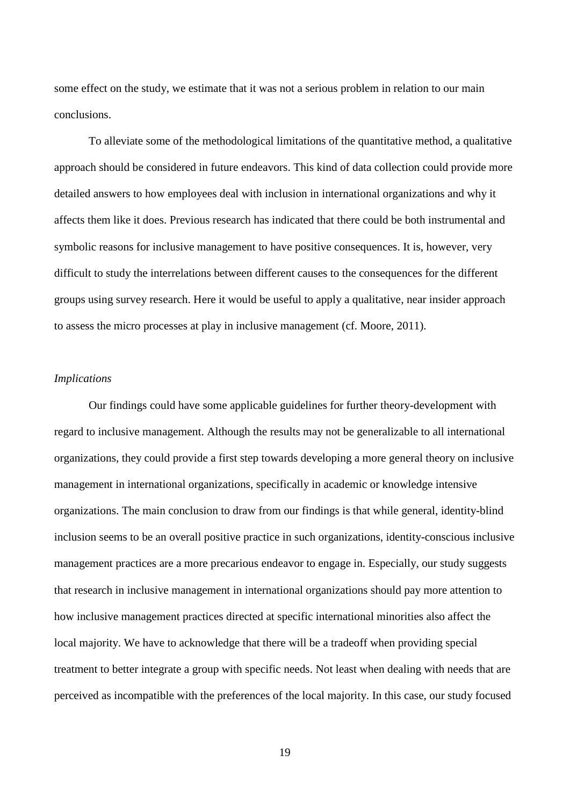some effect on the study, we estimate that it was not a serious problem in relation to our main conclusions.

To alleviate some of the methodological limitations of the quantitative method, a qualitative approach should be considered in future endeavors. This kind of data collection could provide more detailed answers to how employees deal with inclusion in international organizations and why it affects them like it does. Previous research has indicated that there could be both instrumental and symbolic reasons for inclusive management to have positive consequences. It is, however, very difficult to study the interrelations between different causes to the consequences for the different groups using survey research. Here it would be useful to apply a qualitative, near insider approach to assess the micro processes at play in inclusive management (cf. Moore, 2011).

#### *Implications*

Our findings could have some applicable guidelines for further theory-development with regard to inclusive management. Although the results may not be generalizable to all international organizations, they could provide a first step towards developing a more general theory on inclusive management in international organizations, specifically in academic or knowledge intensive organizations. The main conclusion to draw from our findings is that while general, identity-blind inclusion seems to be an overall positive practice in such organizations, identity-conscious inclusive management practices are a more precarious endeavor to engage in. Especially, our study suggests that research in inclusive management in international organizations should pay more attention to how inclusive management practices directed at specific international minorities also affect the local majority. We have to acknowledge that there will be a tradeoff when providing special treatment to better integrate a group with specific needs. Not least when dealing with needs that are perceived as incompatible with the preferences of the local majority. In this case, our study focused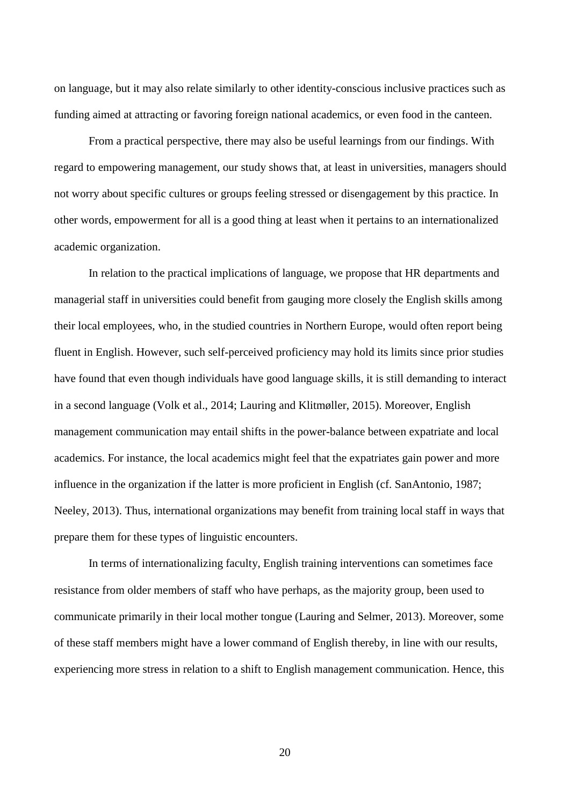on language, but it may also relate similarly to other identity-conscious inclusive practices such as funding aimed at attracting or favoring foreign national academics, or even food in the canteen.

From a practical perspective, there may also be useful learnings from our findings. With regard to empowering management, our study shows that, at least in universities, managers should not worry about specific cultures or groups feeling stressed or disengagement by this practice. In other words, empowerment for all is a good thing at least when it pertains to an internationalized academic organization.

In relation to the practical implications of language, we propose that HR departments and managerial staff in universities could benefit from gauging more closely the English skills among their local employees, who, in the studied countries in Northern Europe, would often report being fluent in English. However, such self-perceived proficiency may hold its limits since prior studies have found that even though individuals have good language skills, it is still demanding to interact in a second language (Volk et al., 2014; Lauring and Klitmøller, 2015). Moreover, English management communication may entail shifts in the power-balance between expatriate and local academics. For instance, the local academics might feel that the expatriates gain power and more influence in the organization if the latter is more proficient in English (cf. SanAntonio, 1987; Neeley, 2013). Thus, international organizations may benefit from training local staff in ways that prepare them for these types of linguistic encounters.

In terms of internationalizing faculty, English training interventions can sometimes face resistance from older members of staff who have perhaps, as the majority group, been used to communicate primarily in their local mother tongue (Lauring and Selmer, 2013). Moreover, some of these staff members might have a lower command of English thereby, in line with our results, experiencing more stress in relation to a shift to English management communication. Hence, this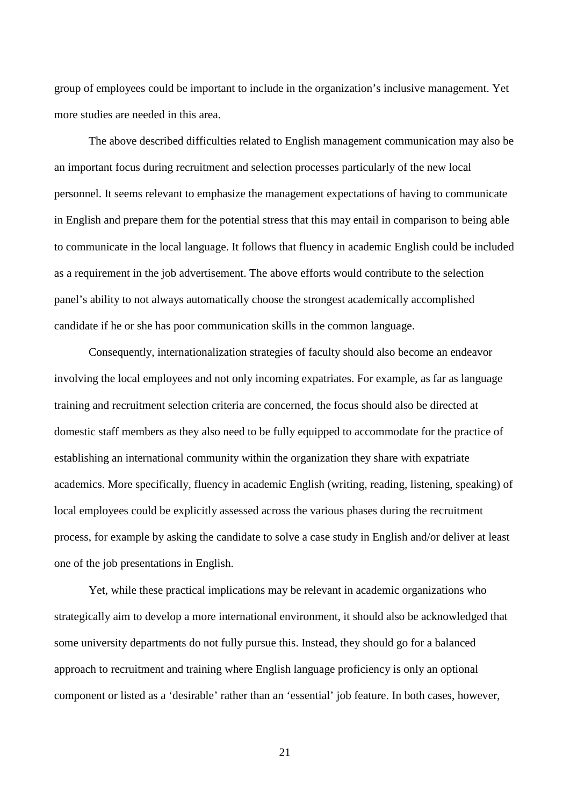group of employees could be important to include in the organization's inclusive management. Yet more studies are needed in this area.

The above described difficulties related to English management communication may also be an important focus during recruitment and selection processes particularly of the new local personnel. It seems relevant to emphasize the management expectations of having to communicate in English and prepare them for the potential stress that this may entail in comparison to being able to communicate in the local language. It follows that fluency in academic English could be included as a requirement in the job advertisement. The above efforts would contribute to the selection panel's ability to not always automatically choose the strongest academically accomplished candidate if he or she has poor communication skills in the common language.

Consequently, internationalization strategies of faculty should also become an endeavor involving the local employees and not only incoming expatriates. For example, as far as language training and recruitment selection criteria are concerned, the focus should also be directed at domestic staff members as they also need to be fully equipped to accommodate for the practice of establishing an international community within the organization they share with expatriate academics. More specifically, fluency in academic English (writing, reading, listening, speaking) of local employees could be explicitly assessed across the various phases during the recruitment process, for example by asking the candidate to solve a case study in English and/or deliver at least one of the job presentations in English.

Yet, while these practical implications may be relevant in academic organizations who strategically aim to develop a more international environment, it should also be acknowledged that some university departments do not fully pursue this. Instead, they should go for a balanced approach to recruitment and training where English language proficiency is only an optional component or listed as a 'desirable' rather than an 'essential' job feature. In both cases, however,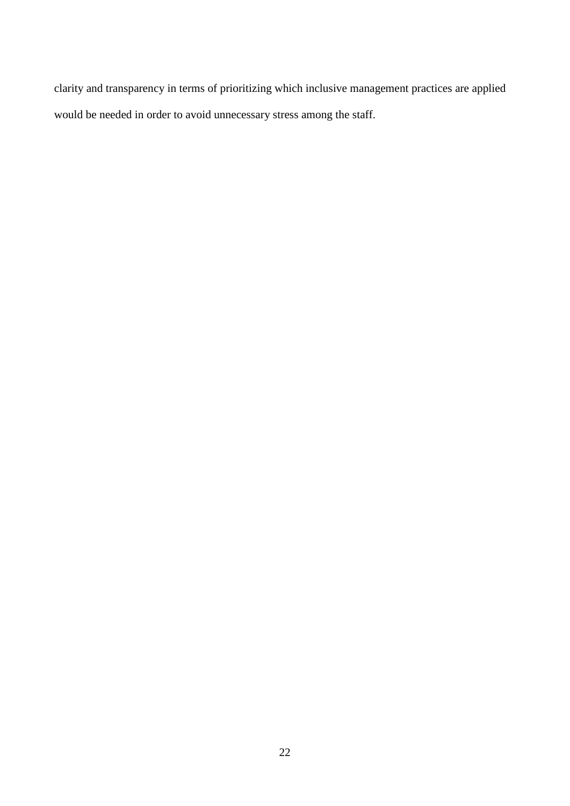clarity and transparency in terms of prioritizing which inclusive management practices are applied would be needed in order to avoid unnecessary stress among the staff.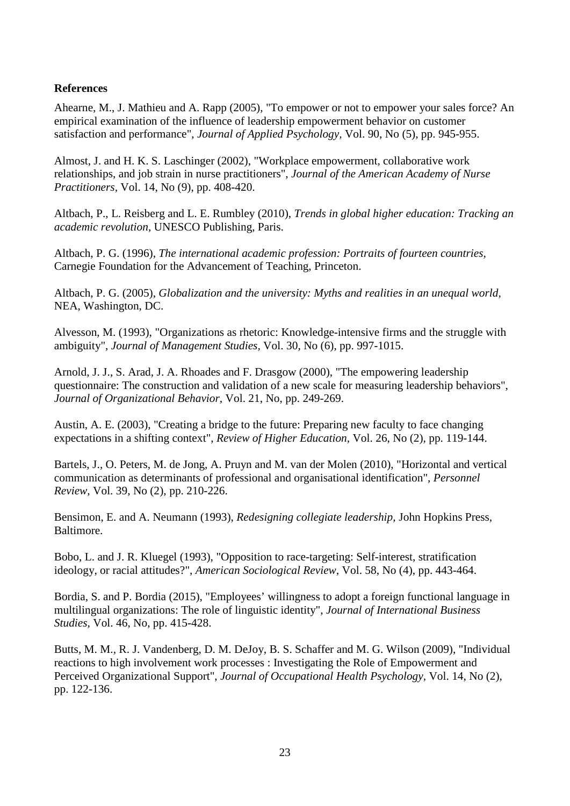# **References**

Ahearne, M., J. Mathieu and A. Rapp (2005), "To empower or not to empower your sales force? An empirical examination of the influence of leadership empowerment behavior on customer satisfaction and performance", *Journal of Applied Psychology,* Vol. 90, No (5), pp. 945-955.

Almost, J. and H. K. S. Laschinger (2002), "Workplace empowerment, collaborative work relationships, and job strain in nurse practitioners", *Journal of the American Academy of Nurse Practitioners,* Vol. 14, No (9), pp. 408-420.

Altbach, P., L. Reisberg and L. E. Rumbley (2010), *Trends in global higher education: Tracking an academic revolution,* UNESCO Publishing, Paris.

Altbach, P. G. (1996), *The international academic profession: Portraits of fourteen countries,* Carnegie Foundation for the Advancement of Teaching, Princeton.

Altbach, P. G. (2005), *Globalization and the university: Myths and realities in an unequal world,* NEA, Washington, DC.

Alvesson, M. (1993), "Organizations as rhetoric: Knowledge-intensive firms and the struggle with ambiguity", *Journal of Management Studies,* Vol. 30, No (6), pp. 997-1015.

Arnold, J. J., S. Arad, J. A. Rhoades and F. Drasgow (2000), "The empowering leadership questionnaire: The construction and validation of a new scale for measuring leadership behaviors", *Journal of Organizational Behavior,* Vol. 21, No, pp. 249-269.

Austin, A. E. (2003), "Creating a bridge to the future: Preparing new faculty to face changing expectations in a shifting context", *Review of Higher Education,* Vol. 26, No (2), pp. 119-144.

Bartels, J., O. Peters, M. de Jong, A. Pruyn and M. van der Molen (2010), "Horizontal and vertical communication as determinants of professional and organisational identification", *Personnel Review,* Vol. 39, No (2), pp. 210-226.

Bensimon, E. and A. Neumann (1993), *Redesigning collegiate leadership,* John Hopkins Press, Baltimore.

Bobo, L. and J. R. Kluegel (1993), "Opposition to race-targeting: Self-interest, stratification ideology, or racial attitudes?", *American Sociological Review,* Vol. 58, No (4), pp. 443-464.

Bordia, S. and P. Bordia (2015), "Employees' willingness to adopt a foreign functional language in multilingual organizations: The role of linguistic identity", *Journal of International Business Studies,* Vol. 46, No, pp. 415-428.

Butts, M. M., R. J. Vandenberg, D. M. DeJoy, B. S. Schaffer and M. G. Wilson (2009), "Individual reactions to high involvement work processes : Investigating the Role of Empowerment and Perceived Organizational Support", *Journal of Occupational Health Psychology,* Vol. 14, No (2), pp. 122-136.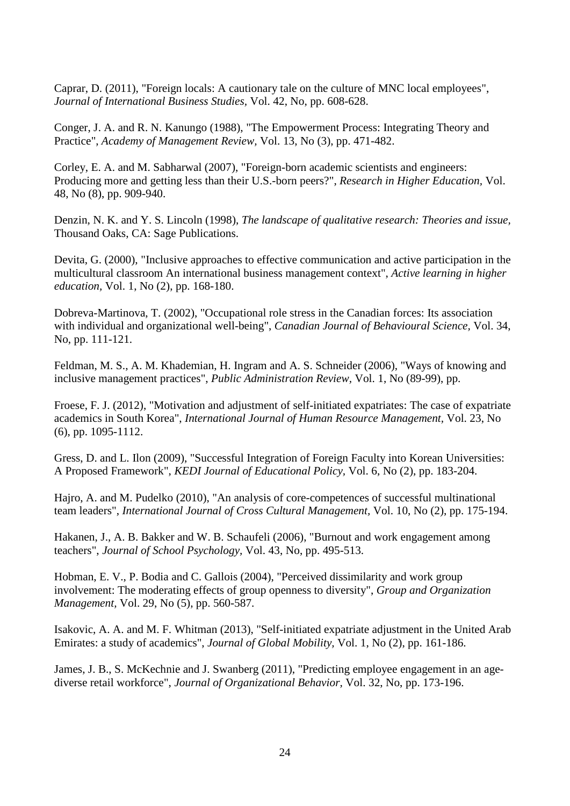Caprar, D. (2011), "Foreign locals: A cautionary tale on the culture of MNC local employees", *Journal of International Business Studies,* Vol. 42, No, pp. 608-628.

Conger, J. A. and R. N. Kanungo (1988), "The Empowerment Process: Integrating Theory and Practice", *Academy of Management Review,* Vol. 13, No (3), pp. 471-482.

Corley, E. A. and M. Sabharwal (2007), "Foreign-born academic scientists and engineers: Producing more and getting less than their U.S.-born peers?", *Research in Higher Education,* Vol. 48, No (8), pp. 909-940.

Denzin, N. K. and Y. S. Lincoln (1998), *The landscape of qualitative research: Theories and issue,* Thousand Oaks, CA: Sage Publications.

Devita, G. (2000), "Inclusive approaches to effective communication and active participation in the multicultural classroom An international business management context", *Active learning in higher education,* Vol. 1, No (2), pp. 168-180.

Dobreva-Martinova, T. (2002), "Occupational role stress in the Canadian forces: Its association with individual and organizational well-being", *Canadian Journal of Behavioural Science,* Vol. 34, No, pp. 111-121.

Feldman, M. S., A. M. Khademian, H. Ingram and A. S. Schneider (2006), "Ways of knowing and inclusive management practices", *Public Administration Review,* Vol. 1, No (89-99), pp.

Froese, F. J. (2012), "Motivation and adjustment of self-initiated expatriates: The case of expatriate academics in South Korea", *International Journal of Human Resource Management,* Vol. 23, No (6), pp. 1095-1112.

Gress, D. and L. Ilon (2009), "Successful Integration of Foreign Faculty into Korean Universities: A Proposed Framework", *KEDI Journal of Educational Policy,* Vol. 6, No (2), pp. 183-204.

Hajro, A. and M. Pudelko (2010), "An analysis of core-competences of successful multinational team leaders", *International Journal of Cross Cultural Management,* Vol. 10, No (2), pp. 175-194.

Hakanen, J., A. B. Bakker and W. B. Schaufeli (2006), "Burnout and work engagement among teachers", *Journal of School Psychology,* Vol. 43, No, pp. 495-513.

Hobman, E. V., P. Bodia and C. Gallois (2004), "Perceived dissimilarity and work group involvement: The moderating effects of group openness to diversity", *Group and Organization Management,* Vol. 29, No (5), pp. 560-587.

Isakovic, A. A. and M. F. Whitman (2013), "Self-initiated expatriate adjustment in the United Arab Emirates: a study of academics", *Journal of Global Mobility,* Vol. 1, No (2), pp. 161-186.

James, J. B., S. McKechnie and J. Swanberg (2011), "Predicting employee engagement in an agediverse retail workforce", *Journal of Organizational Behavior,* Vol. 32, No, pp. 173-196.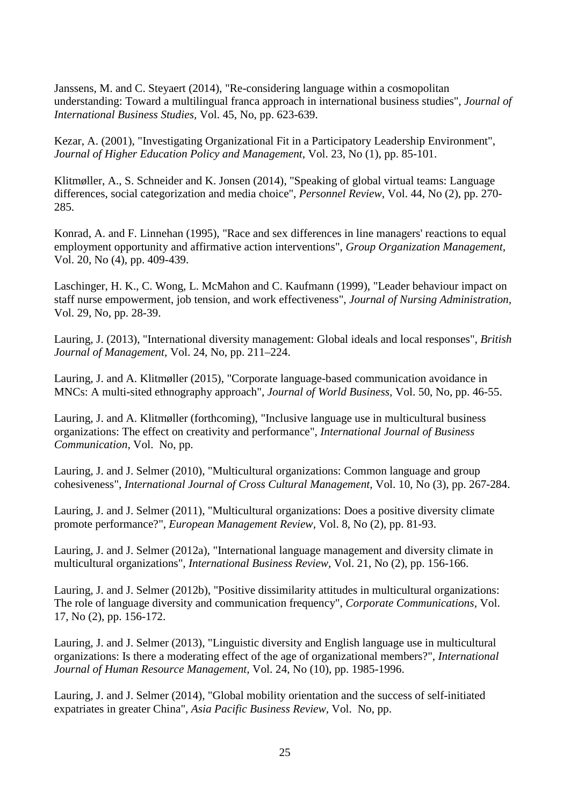Janssens, M. and C. Steyaert (2014), "Re-considering language within a cosmopolitan understanding: Toward a multilingual franca approach in international business studies", *Journal of International Business Studies,* Vol. 45, No, pp. 623-639.

Kezar, A. (2001), "Investigating Organizational Fit in a Participatory Leadership Environment", *Journal of Higher Education Policy and Management,* Vol. 23, No (1), pp. 85-101.

Klitmøller, A., S. Schneider and K. Jonsen (2014), "Speaking of global virtual teams: Language differences, social categorization and media choice", *Personnel Review,* Vol. 44, No (2), pp. 270- 285.

Konrad, A. and F. Linnehan (1995), "Race and sex differences in line managers' reactions to equal employment opportunity and affirmative action interventions", *Group Organization Management,* Vol. 20, No (4), pp. 409-439.

Laschinger, H. K., C. Wong, L. McMahon and C. Kaufmann (1999), "Leader behaviour impact on staff nurse empowerment, job tension, and work effectiveness", *Journal of Nursing Administration,* Vol. 29, No, pp. 28-39.

Lauring, J. (2013), "International diversity management: Global ideals and local responses", *British Journal of Management,* Vol. 24, No, pp. 211–224.

Lauring, J. and A. Klitmøller (2015), "Corporate language-based communication avoidance in MNCs: A multi-sited ethnography approach", *Journal of World Business,* Vol. 50, No, pp. 46-55.

Lauring, J. and A. Klitmøller (forthcoming), "Inclusive language use in multicultural business organizations: The effect on creativity and performance", *International Journal of Business Communication,* Vol. No, pp.

Lauring, J. and J. Selmer (2010), "Multicultural organizations: Common language and group cohesiveness", *International Journal of Cross Cultural Management,* Vol. 10, No (3), pp. 267-284.

Lauring, J. and J. Selmer (2011), "Multicultural organizations: Does a positive diversity climate promote performance?", *European Management Review,* Vol. 8, No (2), pp. 81-93.

Lauring, J. and J. Selmer (2012a), "International language management and diversity climate in multicultural organizations", *International Business Review,* Vol. 21, No (2), pp. 156-166.

Lauring, J. and J. Selmer (2012b), "Positive dissimilarity attitudes in multicultural organizations: The role of language diversity and communication frequency", *Corporate Communications,* Vol. 17, No (2), pp. 156-172.

Lauring, J. and J. Selmer (2013), "Linguistic diversity and English language use in multicultural organizations: Is there a moderating effect of the age of organizational members?", *International Journal of Human Resource Management,* Vol. 24, No (10), pp. 1985-1996.

Lauring, J. and J. Selmer (2014), "Global mobility orientation and the success of self-initiated expatriates in greater China", *Asia Pacific Business Review,* Vol. No, pp.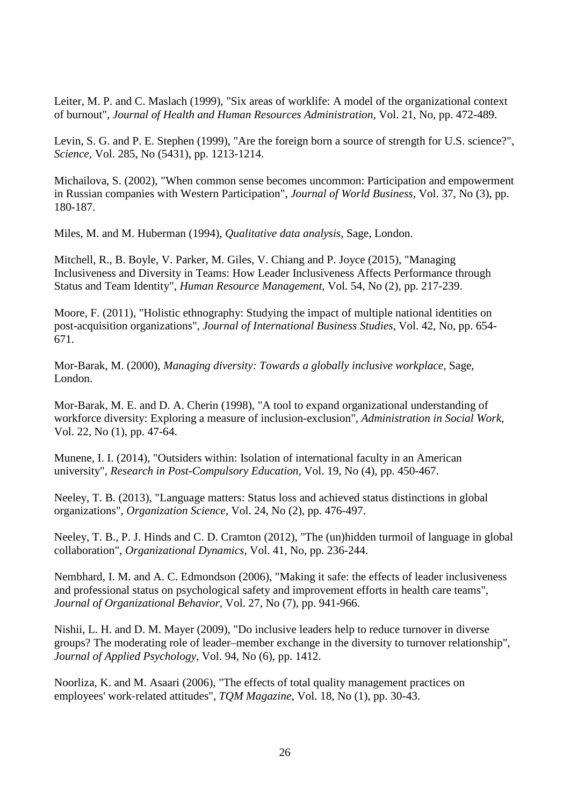Leiter, M. P. and C. Maslach (1999), "Six areas of worklife: A model of the organizational context of burnout", *Journal of Health and Human Resources Administration,* Vol. 21, No, pp. 472-489.

Levin, S. G. and P. E. Stephen (1999), "Are the foreign born a source of strength for U.S. science?", *Science,* Vol. 285, No (5431), pp. 1213-1214.

Michailova, S. (2002), "When common sense becomes uncommon: Participation and empowerment in Russian companies with Western Participation", *Journal of World Business,* Vol. 37, No (3), pp. 180-187.

Miles, M. and M. Huberman (1994), *Qualitative data analysis,* Sage, London.

Mitchell, R., B. Boyle, V. Parker, M. Giles, V. Chiang and P. Joyce (2015), "Managing Inclusiveness and Diversity in Teams: How Leader Inclusiveness Affects Performance through Status and Team Identity", *Human Resource Management,* Vol. 54, No (2), pp. 217-239.

Moore, F. (2011), "Holistic ethnography: Studying the impact of multiple national identities on post-acquisition organizations", *Journal of International Business Studies,* Vol. 42, No, pp. 654- 671.

Mor-Barak, M. (2000), *Managing diversity: Towards a globally inclusive workplace,* Sage, London.

Mor-Barak, M. E. and D. A. Cherin (1998), "A tool to expand organizational understanding of workforce diversity: Exploring a measure of inclusion-exclusion", *Administration in Social Work,* Vol. 22, No (1), pp. 47-64.

Munene, I. I. (2014), "Outsiders within: Isolation of international faculty in an American university", *Research in Post-Compulsory Education,* Vol. 19, No (4), pp. 450-467.

Neeley, T. B. (2013), "Language matters: Status loss and achieved status distinctions in global organizations", *Organization Science,* Vol. 24, No (2), pp. 476-497.

Neeley, T. B., P. J. Hinds and C. D. Cramton (2012), "The (un)hidden turmoil of language in global collaboration", *Organizational Dynamics,* Vol. 41, No, pp. 236-244.

Nembhard, I. M. and A. C. Edmondson (2006), "Making it safe: the effects of leader inclusiveness and professional status on psychological safety and improvement efforts in health care teams", *Journal of Organizational Behavior,* Vol. 27, No (7), pp. 941-966.

Nishii, L. H. and D. M. Mayer (2009), "Do inclusive leaders help to reduce turnover in diverse groups? The moderating role of leader–member exchange in the diversity to turnover relationship", *Journal of Applied Psychology,* Vol. 94, No (6), pp. 1412.

Noorliza, K. and M. Asaari (2006), "The effects of total quality management practices on employees' work‐related attitudes", *TQM Magazine,* Vol. 18, No (1), pp. 30-43.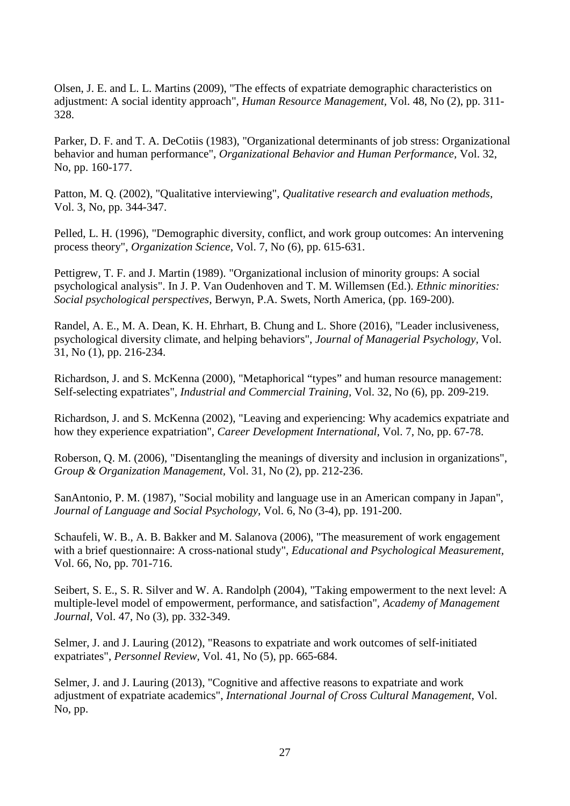Olsen, J. E. and L. L. Martins (2009), "The effects of expatriate demographic characteristics on adjustment: A social identity approach", *Human Resource Management,* Vol. 48, No (2), pp. 311- 328.

Parker, D. F. and T. A. DeCotiis (1983), "Organizational determinants of job stress: Organizational behavior and human performance", *Organizational Behavior and Human Performance,* Vol. 32, No, pp. 160-177.

Patton, M. Q. (2002), "Qualitative interviewing", *Qualitative research and evaluation methods,* Vol. 3, No, pp. 344-347.

Pelled, L. H. (1996), "Demographic diversity, conflict, and work group outcomes: An intervening process theory", *Organization Science,* Vol. 7, No (6), pp. 615-631.

Pettigrew, T. F. and J. Martin (1989). "Organizational inclusion of minority groups: A social psychological analysis". In J. P. Van Oudenhoven and T. M. Willemsen (Ed.). *Ethnic minorities: Social psychological perspectives,* Berwyn, P.A. Swets, North America, (pp. 169-200).

Randel, A. E., M. A. Dean, K. H. Ehrhart, B. Chung and L. Shore (2016), "Leader inclusiveness, psychological diversity climate, and helping behaviors", *Journal of Managerial Psychology,* Vol. 31, No (1), pp. 216-234.

Richardson, J. and S. McKenna (2000), "Metaphorical "types" and human resource management: Self-selecting expatriates", *Industrial and Commercial Training,* Vol. 32, No (6), pp. 209-219.

Richardson, J. and S. McKenna (2002), "Leaving and experiencing: Why academics expatriate and how they experience expatriation", *Career Development International,* Vol. 7, No, pp. 67-78.

Roberson, Q. M. (2006), "Disentangling the meanings of diversity and inclusion in organizations", *Group & Organization Management,* Vol. 31, No (2), pp. 212-236.

SanAntonio, P. M. (1987), "Social mobility and language use in an American company in Japan", *Journal of Language and Social Psychology,* Vol. 6, No (3-4), pp. 191-200.

Schaufeli, W. B., A. B. Bakker and M. Salanova (2006), "The measurement of work engagement with a brief questionnaire: A cross-national study", *Educational and Psychological Measurement,* Vol. 66, No, pp. 701-716.

Seibert, S. E., S. R. Silver and W. A. Randolph (2004), "Taking empowerment to the next level: A multiple-level model of empowerment, performance, and satisfaction", *Academy of Management Journal,* Vol. 47, No (3), pp. 332-349.

Selmer, J. and J. Lauring (2012), "Reasons to expatriate and work outcomes of self-initiated expatriates", *Personnel Review,* Vol. 41, No (5), pp. 665-684.

Selmer, J. and J. Lauring (2013), "Cognitive and affective reasons to expatriate and work adjustment of expatriate academics", *International Journal of Cross Cultural Management,* Vol. No, pp.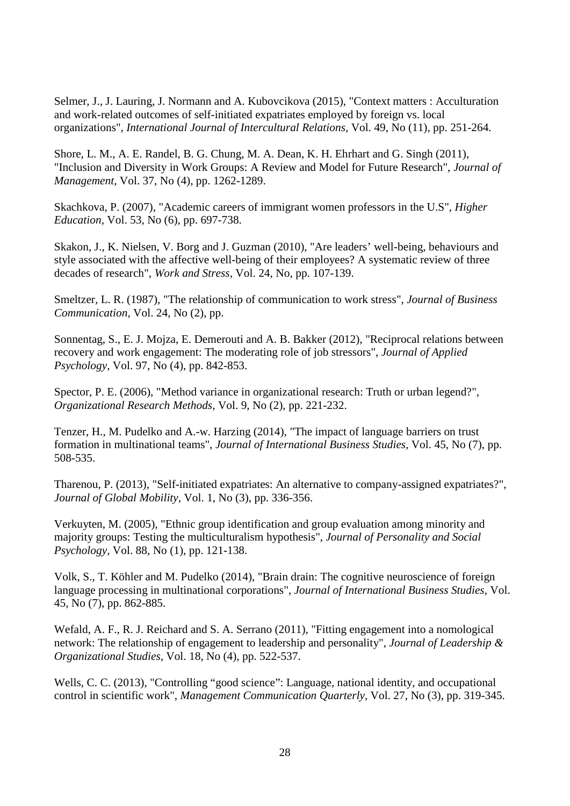Selmer, J., J. Lauring, J. Normann and A. Kubovcikova (2015), "Context matters : Acculturation and work-related outcomes of self-initiated expatriates employed by foreign vs. local organizations", *International Journal of Intercultural Relations,* Vol. 49, No (11), pp. 251-264.

Shore, L. M., A. E. Randel, B. G. Chung, M. A. Dean, K. H. Ehrhart and G. Singh (2011), "Inclusion and Diversity in Work Groups: A Review and Model for Future Research", *Journal of Management,* Vol. 37, No (4), pp. 1262-1289.

Skachkova, P. (2007), "Academic careers of immigrant women professors in the U.S", *Higher Education,* Vol. 53, No (6), pp. 697-738.

Skakon, J., K. Nielsen, V. Borg and J. Guzman (2010), "Are leaders' well-being, behaviours and style associated with the affective well-being of their employees? A systematic review of three decades of research", *Work and Stress,* Vol. 24, No, pp. 107-139.

Smeltzer, L. R. (1987), "The relationship of communication to work stress", *Journal of Business Communication,* Vol. 24, No (2), pp.

Sonnentag, S., E. J. Mojza, E. Demerouti and A. B. Bakker (2012), "Reciprocal relations between recovery and work engagement: The moderating role of job stressors", *Journal of Applied Psychology,* Vol. 97, No (4), pp. 842-853.

Spector, P. E. (2006), "Method variance in organizational research: Truth or urban legend?", *Organizational Research Methods,* Vol. 9, No (2), pp. 221-232.

Tenzer, H., M. Pudelko and A.-w. Harzing (2014), "The impact of language barriers on trust formation in multinational teams", *Journal of International Business Studies,* Vol. 45, No (7), pp. 508-535.

Tharenou, P. (2013), "Self-initiated expatriates: An alternative to company-assigned expatriates?", *Journal of Global Mobility,* Vol. 1, No (3), pp. 336-356.

Verkuyten, M. (2005), "Ethnic group identification and group evaluation among minority and majority groups: Testing the multiculturalism hypothesis", *Journal of Personality and Social Psychology,* Vol. 88, No (1), pp. 121-138.

Volk, S., T. Köhler and M. Pudelko (2014), "Brain drain: The cognitive neuroscience of foreign language processing in multinational corporations", *Journal of International Business Studies,* Vol. 45, No (7), pp. 862-885.

Wefald, A. F., R. J. Reichard and S. A. Serrano (2011), "Fitting engagement into a nomological network: The relationship of engagement to leadership and personality", *Journal of Leadership & Organizational Studies,* Vol. 18, No (4), pp. 522-537.

Wells, C. C. (2013), "Controlling "good science": Language, national identity, and occupational control in scientific work", *Management Communication Quarterly,* Vol. 27, No (3), pp. 319-345.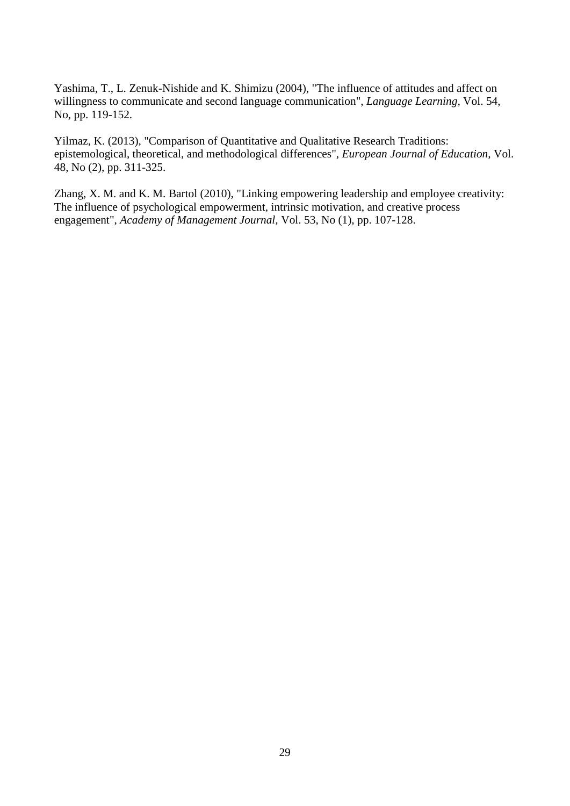Yashima, T., L. Zenuk-Nishide and K. Shimizu (2004), "The influence of attitudes and affect on willingness to communicate and second language communication", *Language Learning,* Vol. 54, No, pp. 119-152.

Yilmaz, K. (2013), "Comparison of Quantitative and Qualitative Research Traditions: epistemological, theoretical, and methodological differences", *European Journal of Education,* Vol. 48, No (2), pp. 311-325.

Zhang, X. M. and K. M. Bartol (2010), "Linking empowering leadership and employee creativity: The influence of psychological empowerment, intrinsic motivation, and creative process engagement", *Academy of Management Journal,* Vol. 53, No (1), pp. 107-128.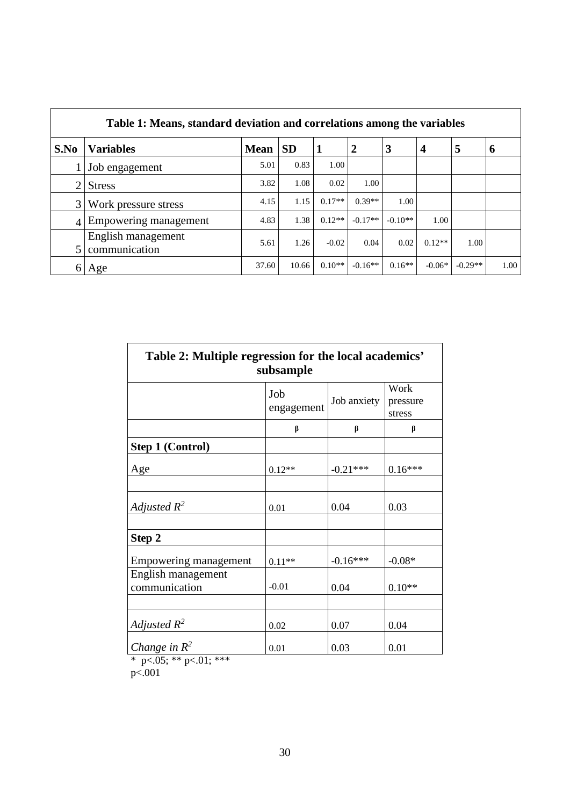| Table 1: Means, standard deviation and correlations among the variables |                                     |             |           |             |                |           |          |           |      |  |
|-------------------------------------------------------------------------|-------------------------------------|-------------|-----------|-------------|----------------|-----------|----------|-----------|------|--|
| S.No                                                                    | <b>Variables</b>                    | <b>Mean</b> | <b>SD</b> | $\mathbf 1$ | $\overline{2}$ | 3         | 4        | 5         | 6    |  |
|                                                                         | Job engagement                      | 5.01        | 0.83      | 1.00        |                |           |          |           |      |  |
|                                                                         | <b>Stress</b>                       | 3.82        | 1.08      | 0.02        | 1.00           |           |          |           |      |  |
| 3                                                                       | Work pressure stress                | 4.15        | 1.15      | $0.17**$    | $0.39**$       | 1.00      |          |           |      |  |
| 4                                                                       | Empowering management               | 4.83        | 1.38      | $0.12**$    | $-0.17**$      | $-0.10**$ | 1.00     |           |      |  |
|                                                                         | English management<br>communication | 5.61        | 1.26      | $-0.02$     | 0.04           | 0.02      | $0.12**$ | 1.00      |      |  |
| 6                                                                       | Age                                 | 37.60       | 10.66     | $0.10**$    | $-0.16**$      | $0.16**$  | $-0.06*$ | $-0.29**$ | 1.00 |  |

| Table 2: Multiple regression for the local academics'<br>subsample |                   |             |                            |  |  |  |
|--------------------------------------------------------------------|-------------------|-------------|----------------------------|--|--|--|
|                                                                    | Job<br>engagement | Job anxiety | Work<br>pressure<br>stress |  |  |  |
|                                                                    | β                 | β           | β                          |  |  |  |
| <b>Step 1 (Control)</b>                                            |                   |             |                            |  |  |  |
| Age                                                                | $0.12**$          | $-0.21***$  | $0.16***$                  |  |  |  |
| Adjusted $R^2$                                                     | 0.01              | 0.04        | 0.03                       |  |  |  |
| Step 2                                                             |                   |             |                            |  |  |  |
| Empowering management                                              | $0.11**$          | $-0.16***$  | $-0.08*$                   |  |  |  |
| English management<br>communication                                | $-0.01$           | 0.04        | $0.10**$                   |  |  |  |
| Adjusted $R^2$                                                     | 0.02              | 0.07        | 0.04                       |  |  |  |
| Change in $R^2$                                                    | 0.01              | 0.03        | 0.01                       |  |  |  |

\* p<.05; \*\* p<.01; \*\*\*

p<.001